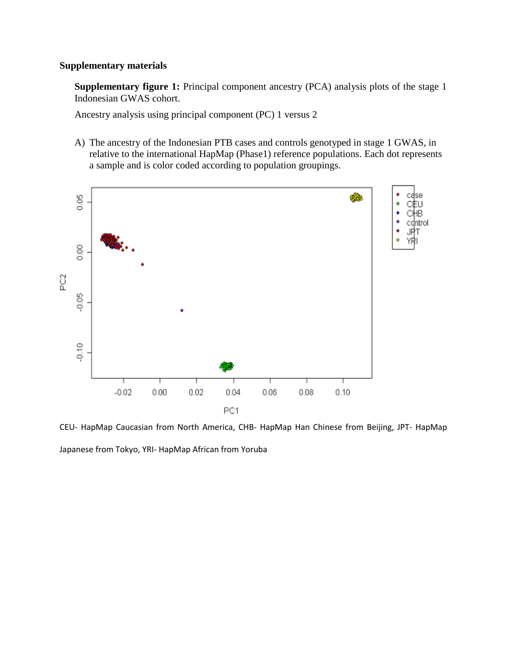## **Supplementary materials**

**Supplementary figure 1:** Principal component ancestry (PCA) analysis plots of the stage 1 Indonesian GWAS cohort.

Ancestry analysis using principal component (PC) 1 versus 2

A) The ancestry of the Indonesian PTB cases and controls genotyped in stage 1 GWAS, in relative to the international HapMap (Phase1) reference populations. Each dot represents a sample and is color coded according to population groupings.



CEU- HapMap Caucasian from North America, CHB- HapMap Han Chinese from Beijing, JPT- HapMap Japanese from Tokyo, YRI- HapMap African from Yoruba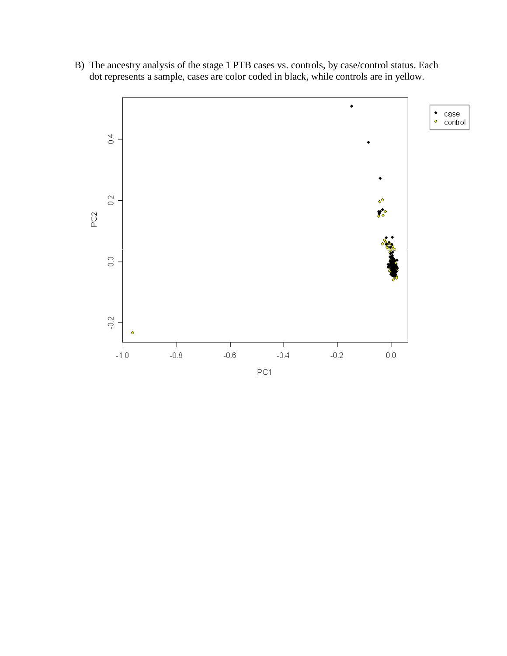B) The ancestry analysis of the stage 1 PTB cases vs. controls, by case/control status. Each dot represents a sample, cases are color coded in black, while controls are in yellow.

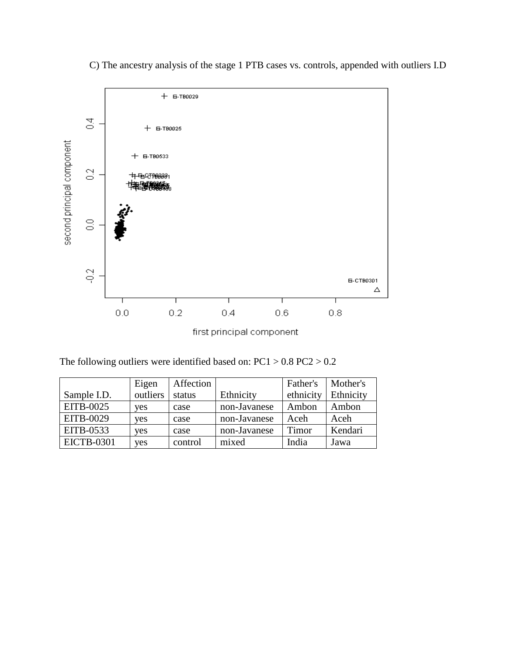

C) The ancestry analysis of the stage 1 PTB cases vs. controls, appended with outliers I.D

The following outliers were identified based on:  $PC1 > 0.8$   $PC2 > 0.2$ 

|                   | Eigen    | Affection |              | Father's  | Mother's  |
|-------------------|----------|-----------|--------------|-----------|-----------|
| Sample I.D.       | outliers | status    | Ethnicity    | ethnicity | Ethnicity |
| EITB-0025         | yes      | case      | non-Javanese | Ambon     | Ambon     |
| EITB-0029         | yes      | case      | non-Javanese | Aceh      | Aceh      |
| EITB-0533         | yes      | case      | non-Javanese | Timor     | Kendari   |
| <b>EICTB-0301</b> | yes      | control   | mixed        | India     | Jawa      |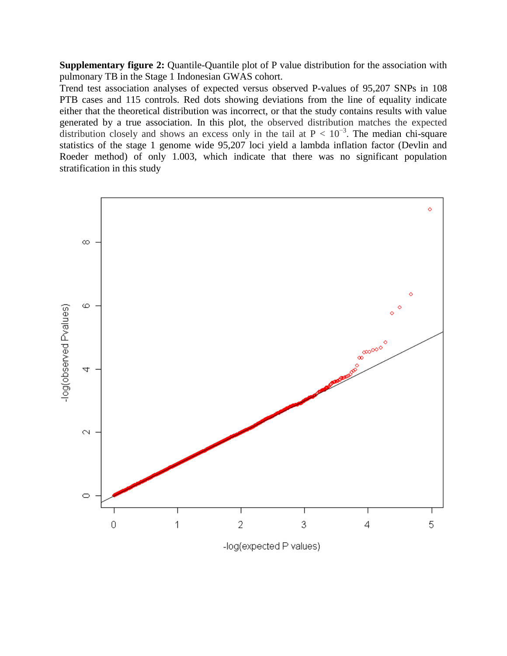**Supplementary figure 2:** Quantile-Quantile plot of P value distribution for the association with pulmonary TB in the Stage 1 Indonesian GWAS cohort.

Trend test association analyses of expected versus observed P-values of 95,207 SNPs in 108 PTB cases and 115 controls. Red dots showing deviations from the line of equality indicate either that the theoretical distribution was incorrect, or that the study contains results with value generated by a true association. In this plot, the observed distribution matches the expected distribution closely and shows an excess only in the tail at  $P < 10^{-3}$ . The median chi-square statistics of the stage 1 genome wide 95,207 loci yield a lambda inflation factor (Devlin and Roeder method) of only 1.003, which indicate that there was no significant population stratification in this study



-log(expected P values)